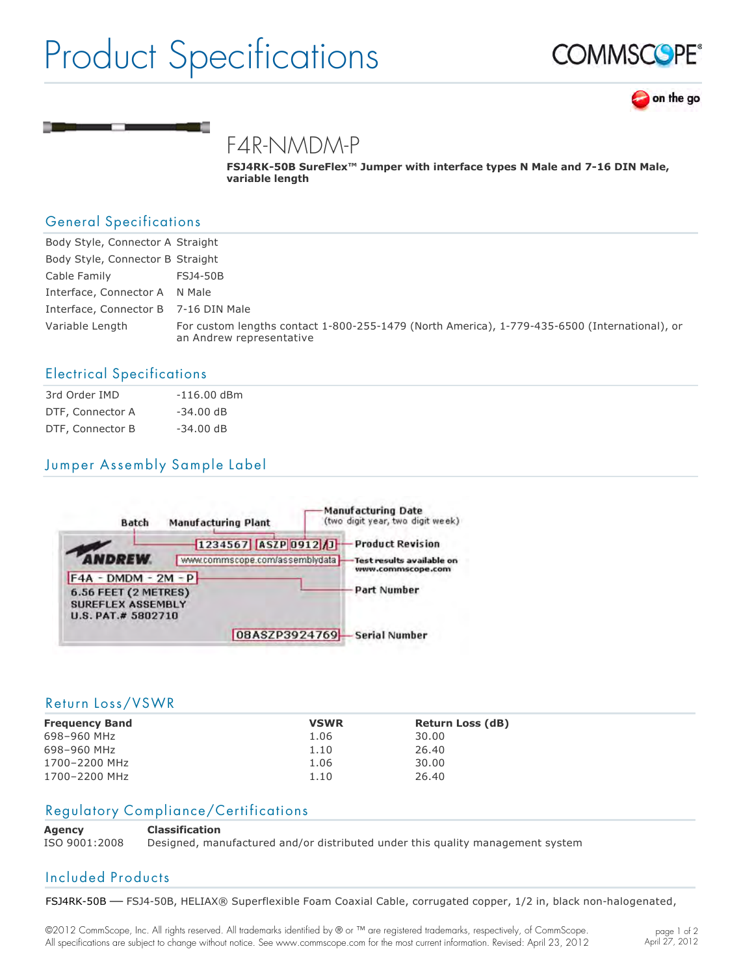# Product Specifications





F4R-NMDM-P

FSJ4RK-50B SureFlex<sup>™</sup> Jumper with interface types N Male and 7-16 DIN Male, **variable length**

## General Specifications

| Body Style, Connector A Straight     |                                                                                                                           |
|--------------------------------------|---------------------------------------------------------------------------------------------------------------------------|
| Body Style, Connector B Straight     |                                                                                                                           |
| Cable Family                         | FSJ4-50B                                                                                                                  |
| Interface, Connector A N Male        |                                                                                                                           |
| Interface, Connector B 7-16 DIN Male |                                                                                                                           |
| Variable Length                      | For custom lengths contact 1-800-255-1479 (North America), 1-779-435-6500 (International), or<br>an Andrew representative |

### Electrical Specifications

| 3rd Order IMD    | $-116.00$ dBm |
|------------------|---------------|
| DTF, Connector A | $-34.00$ dB   |
| DTF, Connector B | $-34.00$ dB   |

# Jumper Assembly Sample Label



#### Return Loss/VSWR

| <b>Frequency Band</b> | <b>VSWR</b> | <b>Return Loss (dB)</b> |
|-----------------------|-------------|-------------------------|
| 698-960 MHz           | 1.06        | 30.00                   |
| 698-960 MHz           | 1.10        | 26.40                   |
| 1700-2200 MHz         | 1.06        | 30.00                   |
| 1700-2200 MHz         | 1.10        | 26.40                   |

### Regulatory Compliance/Certifications

**Agency Classification**

ISO 9001:2008 Designed, manufactured and/or distributed under this quality management system

## Included Products

FSJ4RK-50B - FSJ4-50B, HELIAX® Superflexible Foam Coaxial Cable, corrugated copper, 1/2 in, black non-halogenated,